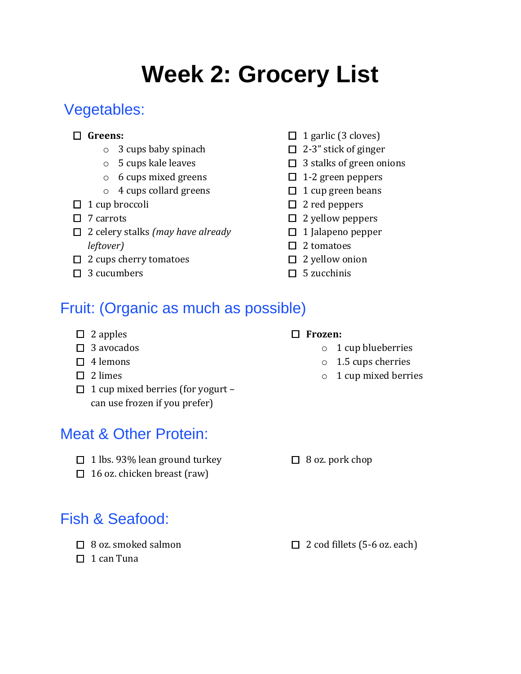# **Week 2: Grocery List**

# Vegetables:

#### **Greens:**

- o 3 cups baby spinach
- o 5 cups kale leaves
- o 6 cups mixed greens
- o 4 cups collard greens
- $\Box$  1 cup broccoli
- $\Box$  7 carrots
- 2 celery stalks *(may have already leftover)*
- $\Box$  2 cups cherry tomatoes
- $\Box$  3 cucumbers
- $\Box$  1 garlic (3 cloves)
- $\Box$  2-3" stick of ginger
- $\Box$  3 stalks of green onions
- $\Box$  1-2 green peppers
- $\Box$  1 cup green beans
- $\square$  2 red peppers
- $\Box$  2 yellow peppers
- $\Box$  1 Jalapeno pepper
- $\square$  2 tomatoes
- $\Box$  2 yellow onion
- $\Box$  5 zucchinis

# Fruit: (Organic as much as possible)

- $\Box$  2 apples
- $\square$  3 avocados
- $\Box$  4 lemons
- $\Box$  2 limes
- $\Box$  1 cup mixed berries (for yogurt can use frozen if you prefer)

## Meat & Other Protein:

- $\Box$  1 lbs. 93% lean ground turkey
- $\Box$  16 oz. chicken breast (raw)

# $\Box$  8 oz. pork chop

## Fish & Seafood:

- $\Box$  8 oz. smoked salmon
- 
- $\Box$  1 can Tuna

 $\Box$  2 cod fillets (5-6 oz. each)

- **Frozen:**
	- - o 1 cup blueberries
		- o 1.5 cups cherries
		- o 1 cup mixed berries